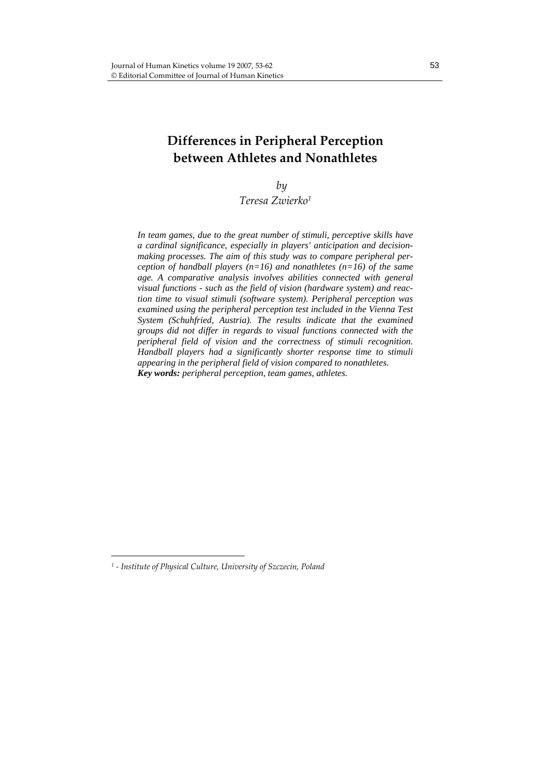## **Differences in Peripheral Perception between Athletes and Nonathletes**

*by*

*Teresa Zwierko1*

*In team games, due to the great number of stimuli, perceptive skills have a cardinal significance, especially in players' anticipation and decisionmaking processes. The aim of this study was to compare peripheral perception of handball players (n=16) and nonathletes (n=16) of the same age. A comparative analysis involves abilities connected with general visual functions - such as the field of vision (hardware system) and reaction time to visual stimuli (software system). Peripheral perception was examined using the peripheral perception test included in the Vienna Test System (Schuhfried, Austria). The results indicate that the examined groups did not differ in regards to visual functions connected with the peripheral field of vision and the correctness of stimuli recognition. Handball players had a significantly shorter response time to stimuli appearing in the peripheral field of vision compared to nonathletes. Key words: peripheral perception, team games, athletes.* 

*<sup>1</sup> ‐ Institute of Physical Culture, University of Szczecin, Poland*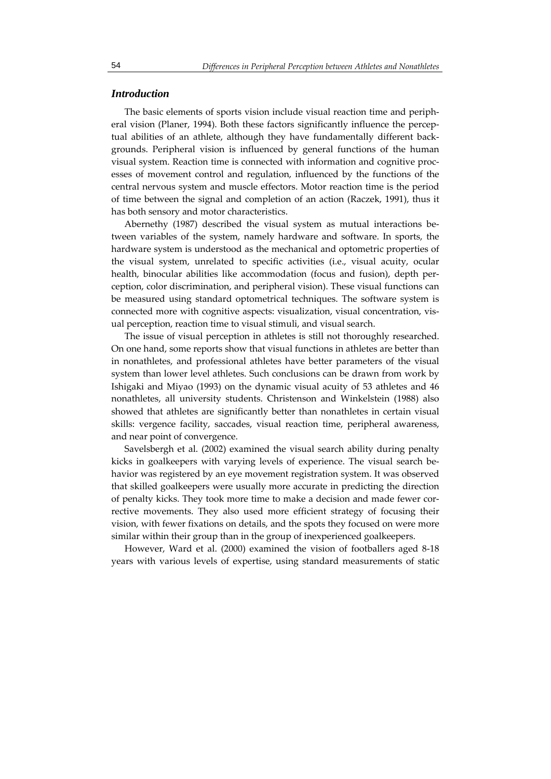#### *Introduction*

The basic elements of sports vision include visual reaction time and periph‐ eral vision (Planer, 1994). Both these factors significantly influence the perceptual abilities of an athlete, although they have fundamentally different back‐ grounds. Peripheral vision is influenced by general functions of the human visual system. Reaction time is connected with information and cognitive proc‐ esses of movement control and regulation, influenced by the functions of the central nervous system and muscle effectors. Motor reaction time is the period of time between the signal and completion of an action (Raczek, 1991), thus it has both sensory and motor characteristics.

Abernethy (1987) described the visual system as mutual interactions be‐ tween variables of the system, namely hardware and software. In sports, the hardware system is understood as the mechanical and optometric properties of the visual system, unrelated to specific activities (i.e., visual acuity, ocular health, binocular abilities like accommodation (focus and fusion), depth perception, color discrimination, and peripheral vision). These visual functions can be measured using standard optometrical techniques. The software system is connected more with cognitive aspects: visualization, visual concentration, vis‐ ual perception, reaction time to visual stimuli, and visual search.

The issue of visual perception in athletes is still not thoroughly researched. On one hand, some reports show that visual functions in athletes are better than in nonathletes, and professional athletes have better parameters of the visual system than lower level athletes. Such conclusions can be drawn from work by Ishigaki and Miyao (1993) on the dynamic visual acuity of 53 athletes and 46 nonathletes, all university students. Christenson and Winkelstein (1988) also showed that athletes are significantly better than nonathletes in certain visual skills: vergence facility, saccades, visual reaction time, peripheral awareness, and near point of convergence.

Savelsbergh et al. (2002) examined the visual search ability during penalty kicks in goalkeepers with varying levels of experience. The visual search be‐ havior was registered by an eye movement registration system. It was observed that skilled goalkeepers were usually more accurate in predicting the direction of penalty kicks. They took more time to make a decision and made fewer cor‐ rective movements. They also used more efficient strategy of focusing their vision, with fewer fixations on details, and the spots they focused on were more similar within their group than in the group of inexperienced goalkeepers.

However, Ward et al. (2000) examined the vision of footballers aged 8‐18 years with various levels of expertise, using standard measurements of static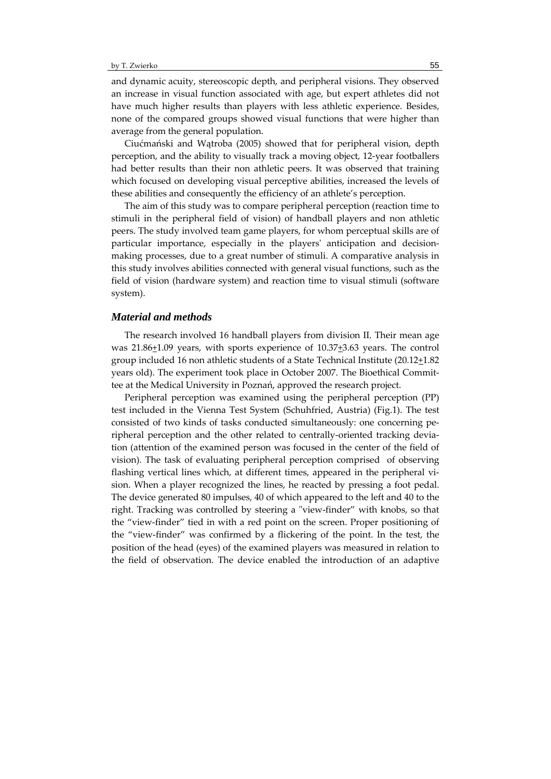and dynamic acuity, stereoscopic depth, and peripheral visions. They observed an increase in visual function associated with age, but expert athletes did not have much higher results than players with less athletic experience. Besides, none of the compared groups showed visual functions that were higher than average from the general population.

Ciućmański and Wątroba (2005) showed that for peripheral vision, depth perception, and the ability to visually track a moving object, 12‐year footballers had better results than their non athletic peers. It was observed that training which focused on developing visual perceptive abilities, increased the levels of these abilities and consequently the efficiency of an athlete's perception.

The aim of this study was to compare peripheral perception (reaction time to stimuli in the peripheral field of vision) of handball players and non athletic peers. The study involved team game players, for whom perceptual skills are of particular importance, especially in the players' anticipation and decisionmaking processes, due to a great number of stimuli. A comparative analysis in this study involves abilities connected with general visual functions, such as the field of vision (hardware system) and reaction time to visual stimuli (software system).

#### *Material and methods*

The research involved 16 handball players from division II. Their mean age was 21.86+1.09 years, with sports experience of 10.37+3.63 years. The control group included 16 non athletic students of a State Technical Institute (20.12+1.82 years old). The experiment took place in October 2007. The Bioethical Commit‐ tee at the Medical University in Poznań, approved the research project.

Peripheral perception was examined using the peripheral perception (PP) test included in the Vienna Test System (Schuhfried, Austria) (Fig.1). The test consisted of two kinds of tasks conducted simultaneously: one concerning pe‐ ripheral perception and the other related to centrally‐oriented tracking devia‐ tion (attention of the examined person was focused in the center of the field of vision). The task of evaluating peripheral perception comprised of observing flashing vertical lines which, at different times, appeared in the peripheral vision. When a player recognized the lines, he reacted by pressing a foot pedal. The device generated 80 impulses, 40 of which appeared to the left and 40 to the right. Tracking was controlled by steering a "view-finder" with knobs, so that the "view‐finder" tied in with a red point on the screen. Proper positioning of the "view‐finder" was confirmed by a flickering of the point. In the test, the position of the head (eyes) of the examined players was measured in relation to the field of observation. The device enabled the introduction of an adaptive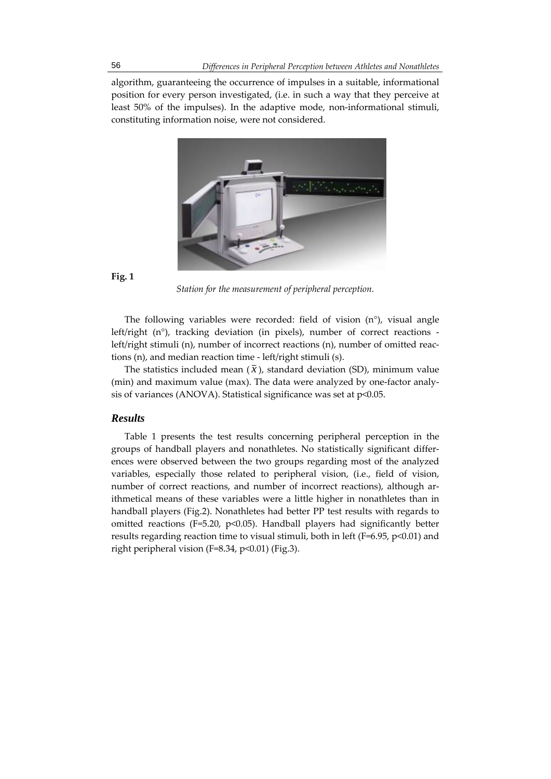algorithm, guaranteeing the occurrence of impulses in a suitable, informational position for every person investigated, (i.e. in such a way that they perceive at least 50% of the impulses). In the adaptive mode, non-informational stimuli, constituting information noise, were not considered.



## **Fig. 1**

*Station for the measurement of peripheral perception.*

The following variables were recorded: field of vision (n°), visual angle left/right  $(n^{\circ})$ , tracking deviation (in pixels), number of correct reactions left/right stimuli (n), number of incorrect reactions (n), number of omitted reac‐ tions (n), and median reaction time ‐ left/right stimuli (s).

The statistics included mean  $(\bar{x})$ , standard deviation (SD), minimum value (min) and maximum value (max). The data were analyzed by one-factor analysis of variances (ANOVA). Statistical significance was set at  $p<0.05$ .

## *Results*

Table 1 presents the test results concerning peripheral perception in the groups of handball players and nonathletes. No statistically significant differ‐ ences were observed between the two groups regarding most of the analyzed variables, especially those related to peripheral vision, (i.e., field of vision, number of correct reactions, and number of incorrect reactions), although arithmetical means of these variables were a little higher in nonathletes than in handball players (Fig.2). Nonathletes had better PP test results with regards to omitted reactions (F=5.20,  $p$ <0.05). Handball players had significantly better results regarding reaction time to visual stimuli, both in left (F=6.95,  $p<0.01$ ) and right peripheral vision (F=8.34, p<0.01) (Fig.3).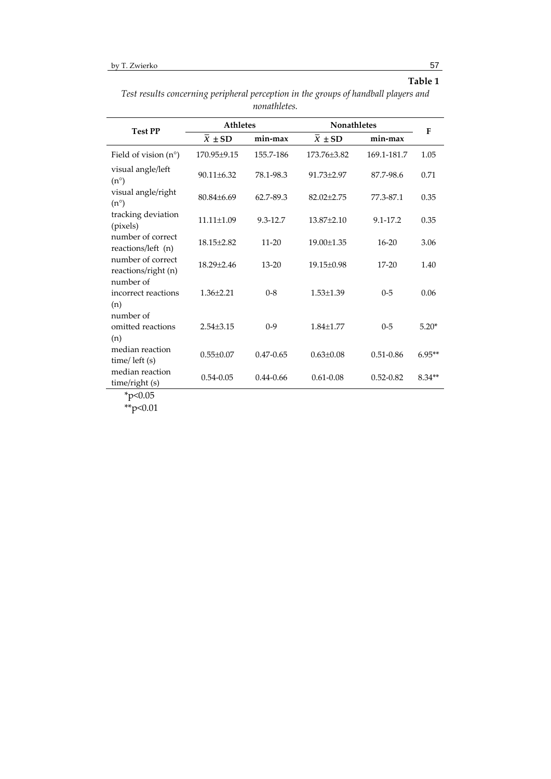# **Table 1**

| Test results concerning peripheral perception in the groups of handball players and |  |  |  |  |  |  |
|-------------------------------------------------------------------------------------|--|--|--|--|--|--|
| nonathletes.                                                                        |  |  |  |  |  |  |

| <b>Test PP</b>                           | <b>Athletes</b>     |               | Nonathletes      |               | $\mathbf{F}$ |
|------------------------------------------|---------------------|---------------|------------------|---------------|--------------|
|                                          | $\overline{x}$ ± SD | min-max       | $x \pm SD$       | min-max       |              |
| Field of vision $(n^{\circ})$            | 170.95±9.15         | 155.7-186     | 173.76±3.82      | 169.1-181.7   | 1.05         |
| visual angle/left<br>$(n^{\circ})$       | $90.11 \pm 6.32$    | 78.1-98.3     | $91.73 + 2.97$   | 87.7-98.6     | 0.71         |
| visual angle/right<br>$(n^{\circ})$      | $80.84 \pm 6.69$    | 62.7-89.3     | $82.02 \pm 2.75$ | 77.3-87.1     | 0.35         |
| tracking deviation<br>(pixels)           | $11.11 \pm 1.09$    | 9.3-12.7      | $13.87 \pm 2.10$ | 9.1-17.2      | 0.35         |
| number of correct<br>reactions/left (n)  | $18.15 \pm 2.82$    | $11 - 20$     | 19.00±1.35       | $16 - 20$     | 3.06         |
| number of correct<br>reactions/right (n) | 18.29±2.46          | $13 - 20$     | 19.15±0.98       | $17 - 20$     | 1.40         |
| number of<br>incorrect reactions<br>(n)  | $1.36 \pm 2.21$     | $0 - 8$       | $1.53 \pm 1.39$  | $0 - 5$       | 0.06         |
| number of<br>omitted reactions<br>(n)    | $2.54 \pm 3.15$     | $0-9$         | $1.84 \pm 1.77$  | $0 - 5$       | $5.20*$      |
| median reaction<br>time/ left (s)        | $0.55 \pm 0.07$     | $0.47 - 0.65$ | $0.63 \pm 0.08$  | $0.51 - 0.86$ | $6.95**$     |
| median reaction<br>time/right (s)        | $0.54 - 0.05$       | $0.44 - 0.66$ | $0.61 - 0.08$    | $0.52 - 0.82$ | $8.34**$     |

\*\*p<0.01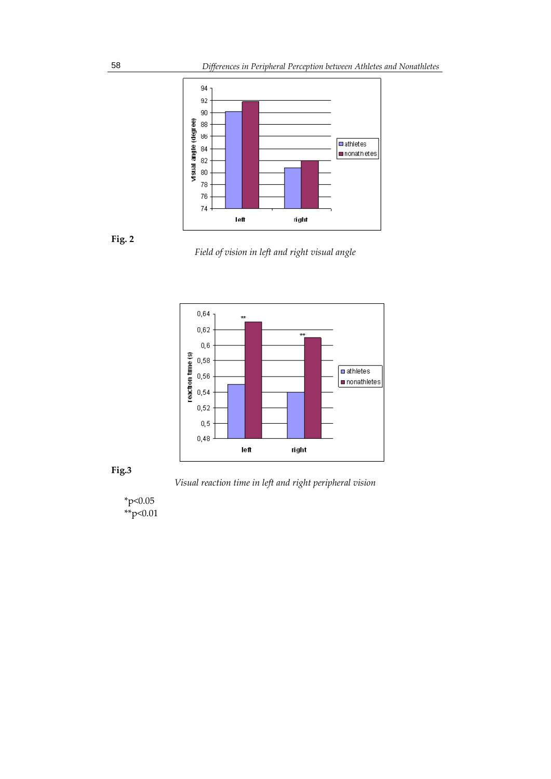



*Field of vision in left and right visual angle*





*Visual reaction time in left and right peripheral vision*

\*p<0.05  $*$ <sup>\*\*</sup>p<0.01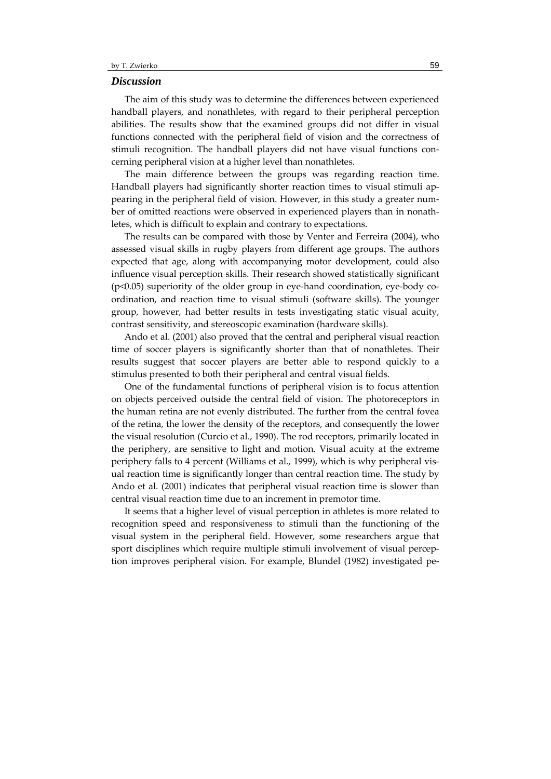#### *Discussion*

The aim of this study was to determine the differences between experienced handball players, and nonathletes, with regard to their peripheral perception abilities. The results show that the examined groups did not differ in visual functions connected with the peripheral field of vision and the correctness of stimuli recognition. The handball players did not have visual functions con‐ cerning peripheral vision at a higher level than nonathletes.

The main difference between the groups was regarding reaction time. Handball players had significantly shorter reaction times to visual stimuli appearing in the peripheral field of vision. However, in this study a greater num‐ ber of omitted reactions were observed in experienced players than in nonath– letes, which is difficult to explain and contrary to expectations.

The results can be compared with those by Venter and Ferreira (2004), who assessed visual skills in rugby players from different age groups. The authors expected that age, along with accompanying motor development, could also influence visual perception skills. Their research showed statistically significant (p<0.05) superiority of the older group in eye‐hand coordination, eye‐body co‐ ordination, and reaction time to visual stimuli (software skills). The younger group, however, had better results in tests investigating static visual acuity, contrast sensitivity, and stereoscopic examination (hardware skills).

Ando et al. (2001) also proved that the central and peripheral visual reaction time of soccer players is significantly shorter than that of nonathletes. Their results suggest that soccer players are better able to respond quickly to a stimulus presented to both their peripheral and central visual fields.

One of the fundamental functions of peripheral vision is to focus attention on objects perceived outside the central field of vision. The photoreceptors in the human retina are not evenly distributed. The further from the central fovea of the retina, the lower the density of the receptors, and consequently the lower the visual resolution (Curcio et al., 1990). The rod receptors, primarily located in the periphery, are sensitive to light and motion. Visual acuity at the extreme periphery falls to 4 percent (Williams et al., 1999), which is why peripheral visual reaction time is significantly longer than central reaction time. The study by Ando et al. (2001) indicates that peripheral visual reaction time is slower than central visual reaction time due to an increment in premotor time.

It seems that a higher level of visual perception in athletes is more related to recognition speed and responsiveness to stimuli than the functioning of the visual system in the peripheral field. However, some researchers argue that sport disciplines which require multiple stimuli involvement of visual perception improves peripheral vision. For example, Blundel (1982) investigated pe‐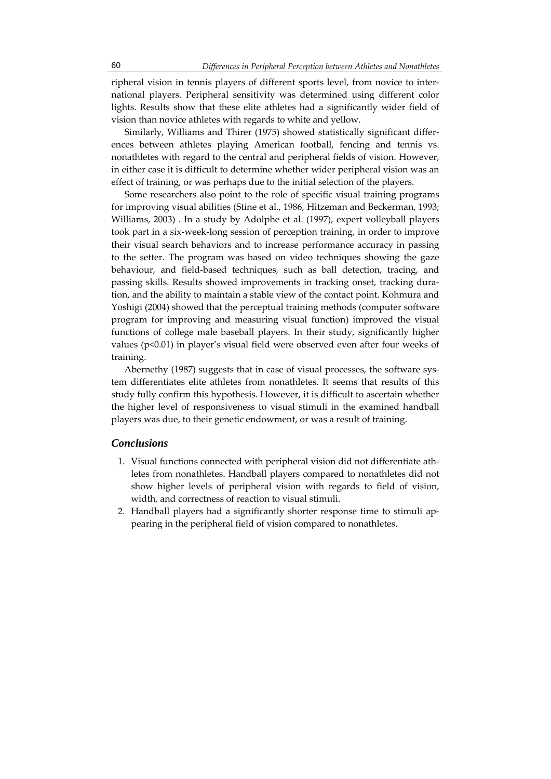ripheral vision in tennis players of different sports level, from novice to inter‐ national players. Peripheral sensitivity was determined using different color lights. Results show that these elite athletes had a significantly wider field of vision than novice athletes with regards to white and yellow.

Similarly, Williams and Thirer (1975) showed statistically significant differ‐ ences between athletes playing American football, fencing and tennis vs. nonathletes with regard to the central and peripheral fields of vision. However, in either case it is difficult to determine whether wider peripheral vision was an effect of training, or was perhaps due to the initial selection of the players.

Some researchers also point to the role of specific visual training programs for improving visual abilities (Stine et al., 1986, Hitzeman and Beckerman, 1993; Williams, 2003) . In a study by Adolphe et al. (1997), expert volleyball players took part in a six‐week‐long session of perception training, in order to improve their visual search behaviors and to increase performance accuracy in passing to the setter. The program was based on video techniques showing the gaze behaviour, and field‐based techniques, such as ball detection, tracing, and passing skills. Results showed improvements in tracking onset, tracking dura‐ tion, and the ability to maintain a stable view of the contact point. Kohmura and Yoshigi (2004) showed that the perceptual training methods (computer software program for improving and measuring visual function) improved the visual functions of college male baseball players. In their study, significantly higher values (p<0.01) in player's visual field were observed even after four weeks of training.

Abernethy (1987) suggests that in case of visual processes, the software sys‐ tem differentiates elite athletes from nonathletes. It seems that results of this study fully confirm this hypothesis. However, it is difficult to ascertain whether the higher level of responsiveness to visual stimuli in the examined handball players was due, to their genetic endowment, or was a result of training.

## *Conclusions*

- 1. Visual functions connected with peripheral vision did not differentiate athletes from nonathletes. Handball players compared to nonathletes did not show higher levels of peripheral vision with regards to field of vision, width, and correctness of reaction to visual stimuli.
- 2. Handball players had a significantly shorter response time to stimuli ap‐ pearing in the peripheral field of vision compared to nonathletes.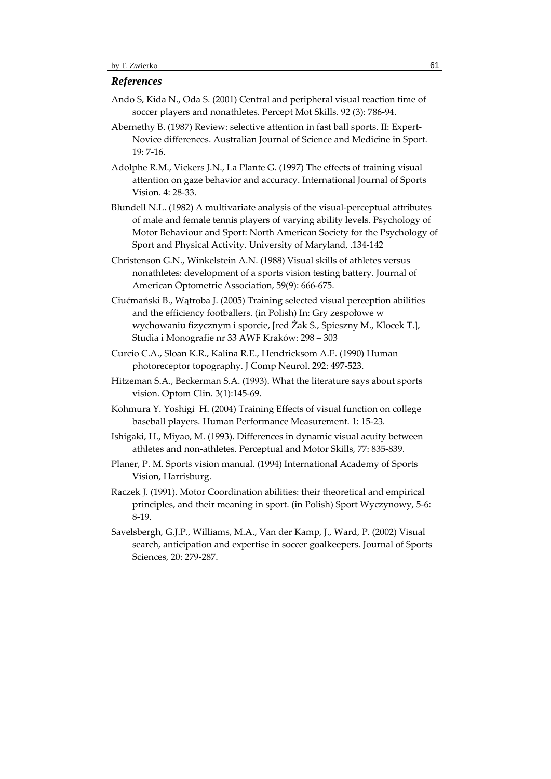#### *References*

- Ando S, Kida N., Oda S. (2001) Central and peripheral visual reaction time of soccer players and nonathletes. Percept Mot Skills. 92 (3): 786‐94.
- Abernethy B. (1987) Review: selective attention in fast ball sports. II: Expert‐ Novice differences. Australian Journal of Science and Medicine in Sport. 19: 7‐16.

Adolphe R.M., Vickers J.N., La Plante G. (1997) The effects of training visual attention on gaze behavior and accuracy. International Journal of Sports Vision. 4: 28‐33.

- Blundell N.L. (1982) A multivariate analysis of the visual‐perceptual attributes of male and female tennis players of varying ability levels. Psychology of Motor Behaviour and Sport: North American Society for the Psychology of Sport and Physical Activity. University of Maryland, .134‐142
- Christenson G.N., Winkelstein A.N. (1988) Visual skills of athletes versus nonathletes: development of a sports vision testing battery. Journal of American Optometric Association, 59(9): 666‐675.
- Ciućmański B., Wątroba J. (2005) Training selected visual perception abilities and the efficiency footballers. (in Polish) In: Gry zespołowe w wychowaniu fizycznym i sporcie, [red Żak S., Spieszny M., Klocek T.], Studia i Monografie nr 33 AWF Kraków: 298 – 303
- Curcio C.A., Sloan K.R., Kalina R.E., Hendricksom A.E. (1990) Human photoreceptor topography. J Comp Neurol. 292: 497‐523.
- Hitzeman S.A., Beckerman S.A. (1993). What the literature says about sports vision. Optom Clin. 3(1):145‐69.
- Kohmura Y. Yoshigi H. (2004) Training Effects of visual function on college baseball players. Human Performance Measurement. 1: 15‐23.
- Ishigaki, H., Miyao, M. (1993). Differences in dynamic visual acuity between athletes and non‐athletes. Perceptual and Motor Skills, 77: 835‐839.
- Planer, P. M. Sports vision manual. (1994) International Academy of Sports Vision, Harrisburg.
- Raczek J. (1991). Motor Coordination abilities: their theoretical and empirical principles, and their meaning in sport. (in Polish) Sport Wyczynowy, 5‐6: 8‐19.
- Savelsbergh, G.J.P., Williams, M.A., Van der Kamp, J., Ward, P. (2002) Visual search, anticipation and expertise in soccer goalkeepers. Journal of Sports Sciences, 20: 279‐287.